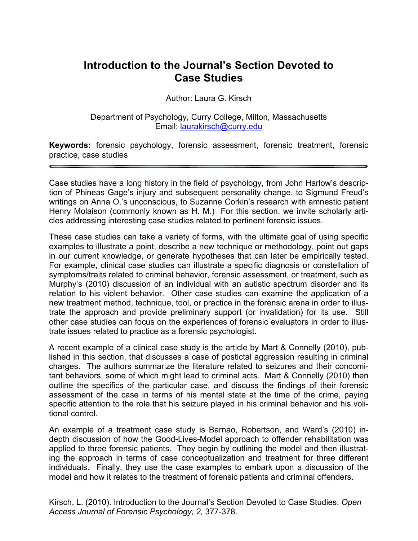## **Introduction to the Journal's Section Devoted to Case Studies**

Author: Laura G. Kirsch

Department of Psychology, Curry College, Milton, Massachusetts Email: laurakirsch@curry.edu

**Keywords:** forensic psychology, forensic assessment, forensic treatment, forensic practice, case studies

Case studies have a long history in the field of psychology, from John Harlow's description of Phineas Gage's injury and subsequent personality change, to Sigmund Freud's writings on Anna O.'s unconscious, to Suzanne Corkin's research with amnestic patient Henry Molaison (commonly known as H. M.) For this section, we invite scholarly articles addressing interesting case studies related to pertinent forensic issues.

These case studies can take a variety of forms, with the ultimate goal of using specific examples to illustrate a point, describe a new technique or methodology, point out gaps in our current knowledge, or generate hypotheses that can later be empirically tested. For example, clinical case studies can illustrate a specific diagnosis or constellation of symptoms/traits related to criminal behavior, forensic assessment, or treatment, such as Murphy's (2010) discussion of an individual with an autistic spectrum disorder and its relation to his violent behavior. Other case studies can examine the application of a new treatment method, technique, tool, or practice in the forensic arena in order to illustrate the approach and provide preliminary support (or invalidation) for its use. Still other case studies can focus on the experiences of forensic evaluators in order to illustrate issues related to practice as a forensic psychologist.

A recent example of a clinical case study is the article by Mart & Connelly (2010), published in this section, that discusses a case of postictal aggression resulting in criminal charges. The authors summarize the literature related to seizures and their concomitant behaviors, some of which might lead to criminal acts. Mart & Connelly (2010) then outline the specifics of the particular case, and discuss the findings of their forensic assessment of the case in terms of his mental state at the time of the crime, paying specific attention to the role that his seizure played in his criminal behavior and his volitional control.

An example of a treatment case study is Barnao, Robertson, and Ward's (2010) indepth discussion of how the Good-Lives-Model approach to offender rehabilitation was applied to three forensic patients. They begin by outlining the model and then illustrating the approach in terms of case conceptualization and treatment for three different individuals. Finally, they use the case examples to embark upon a discussion of the model and how it relates to the treatment of forensic patients and criminal offenders.

Kirsch, L. (2010). Introduction to the Journal's Section Devoted to Case Studies. *Open Access Journal of Forensic Psychology, 2,* 377-378.